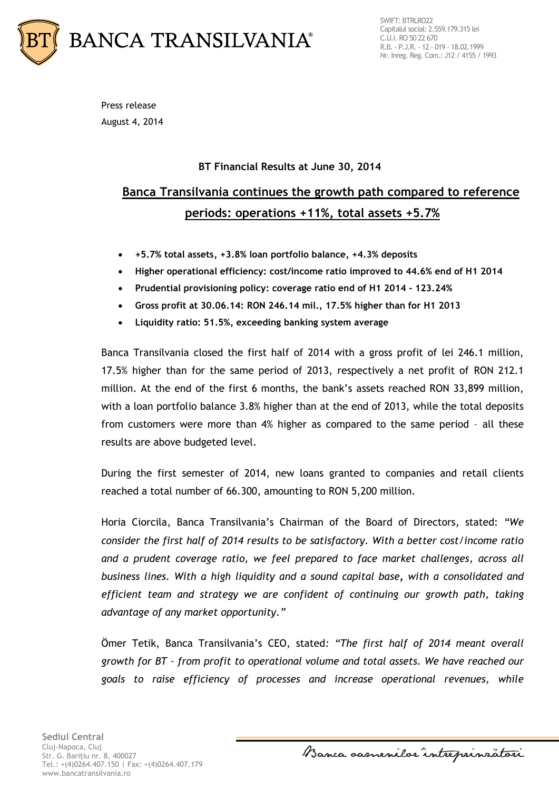

SWIFT: BTRLRO22 Capitalul social: 2.559.179.315 lei C.U.I. RO 50 22 670 R.B. - P.J.R. - 12 - 019 - 18.02.1999 Nr. Inreg. Reg. Com.: J12 / 4155 / 1993

Press release August 4, 2014

### **BT Financial Results at June 30, 2014**

# **Banca Transilvania continues the growth path compared to reference periods: operations +11%, total assets +5.7%**

- **+5.7% total assets, +3.8% loan portfolio balance, +4.3% deposits**
- **Higher operational efficiency: cost/income ratio improved to 44.6% end of H1 2014**
- **Prudential provisioning policy: coverage ratio end of H1 2014 - 123.24%**
- **Gross profit at 30.06.14: RON 246.14 mil., 17.5% higher than for H1 2013**
- **Liquidity ratio: 51.5%, exceeding banking system average**

Banca Transilvania closed the first half of 2014 with a gross profit of lei 246.1 million, 17.5% higher than for the same period of 2013, respectively a net profit of RON 212.1 million. At the end of the first 6 months, the bank's assets reached RON 33,899 million, with a loan portfolio balance 3.8% higher than at the end of 2013, while the total deposits from customers were more than 4% higher as compared to the same period – all these results are above budgeted level.

During the first semester of 2014, new loans granted to companies and retail clients reached a total number of 66.300, amounting to RON 5,200 million.

Horia Ciorcila, Banca Transilvania's Chairman of the Board of Directors, stated: *"We consider the first half of 2014 results to be satisfactory. With a better cost/income ratio and a prudent coverage ratio, we feel prepared to face market challenges, across all business lines. With a high liquidity and a sound capital base, with a consolidated and efficient team and strategy we are confident of continuing our growth path, taking advantage of any market opportunity."*

Ömer Tetik, Banca Transilvania's CEO, stated*: "The first half of 2014 meant overall growth for BT – from profit to operational volume and total assets. We have reached our goals to raise efficiency of processes and increase operational revenues, while* 

Banca samenilar intreprinzatori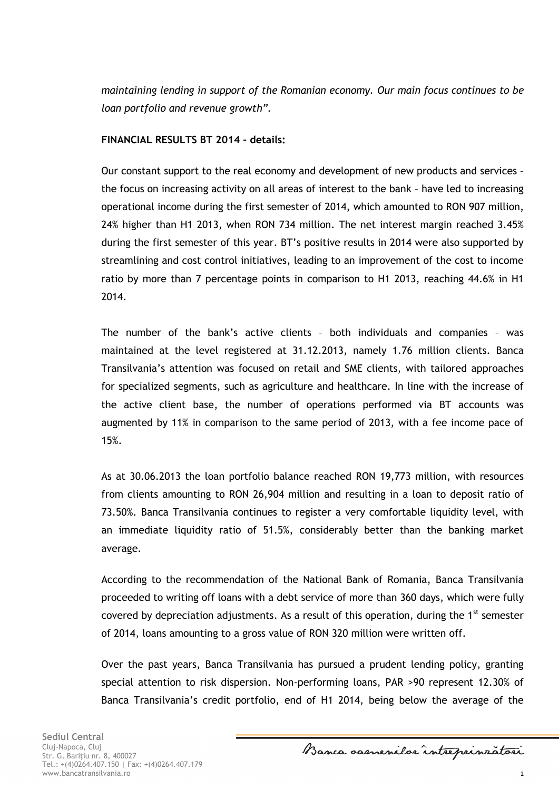*maintaining lending in support of the Romanian economy. Our main focus continues to be loan portfolio and revenue growth".*

#### **FINANCIAL RESULTS BT 2014 - details:**

Our constant support to the real economy and development of new products and services – the focus on increasing activity on all areas of interest to the bank – have led to increasing operational income during the first semester of 2014, which amounted to RON 907 million, 24% higher than H1 2013, when RON 734 million. The net interest margin reached 3.45% during the first semester of this year. BT's positive results in 2014 were also supported by streamlining and cost control initiatives, leading to an improvement of the cost to income ratio by more than 7 percentage points in comparison to H1 2013, reaching 44.6% in H1 2014.

The number of the bank's active clients – both individuals and companies – was maintained at the level registered at 31.12.2013, namely 1.76 million clients. Banca Transilvania's attention was focused on retail and SME clients, with tailored approaches for specialized segments, such as agriculture and healthcare. In line with the increase of the active client base, the number of operations performed via BT accounts was augmented by 11% in comparison to the same period of 2013, with a fee income pace of 15%.

As at 30.06.2013 the loan portfolio balance reached RON 19,773 million, with resources from clients amounting to RON 26,904 million and resulting in a loan to deposit ratio of 73.50%. Banca Transilvania continues to register a very comfortable liquidity level, with an immediate liquidity ratio of 51.5%, considerably better than the banking market average.

According to the recommendation of the National Bank of Romania, Banca Transilvania proceeded to writing off loans with a debt service of more than 360 days, which were fully covered by depreciation adjustments. As a result of this operation, during the  $1<sup>st</sup>$  semester of 2014, loans amounting to a gross value of RON 320 million were written off.

Over the past years, Banca Transilvania has pursued a prudent lending policy, granting special attention to risk dispersion. Non-performing loans, PAR >90 represent 12.30% of Banca Transilvania's credit portfolio, end of H1 2014, being below the average of the

Banca samenilar intreprinzatori

2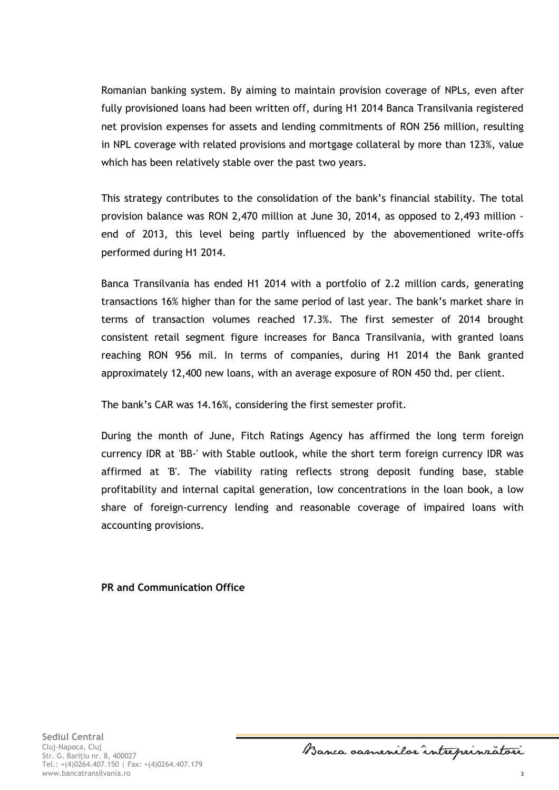Romanian banking system. By aiming to maintain provision coverage of NPLs, even after fully provisioned loans had been written off, during H1 2014 Banca Transilvania registered net provision expenses for assets and lending commitments of RON 256 million, resulting in NPL coverage with related provisions and mortgage collateral by more than 123%, value which has been relatively stable over the past two years.

This strategy contributes to the consolidation of the bank's financial stability. The total provision balance was RON 2,470 million at June 30, 2014, as opposed to 2,493 million end of 2013, this level being partly influenced by the abovementioned write-offs performed during H1 2014.

Banca Transilvania has ended H1 2014 with a portfolio of 2.2 million cards, generating transactions 16% higher than for the same period of last year. The bank's market share in terms of transaction volumes reached 17.3%. The first semester of 2014 brought consistent retail segment figure increases for Banca Transilvania, with granted loans reaching RON 956 mil. In terms of companies, during H1 2014 the Bank granted approximately 12,400 new loans, with an average exposure of RON 450 thd. per client.

The bank's CAR was 14.16%, considering the first semester profit.

During the month of June, Fitch Ratings Agency has affirmed the long term foreign currency IDR at 'BB-' with Stable outlook, while the short term foreign currency IDR was affirmed at 'B'. The viability rating reflects strong deposit funding base, stable profitability and internal capital generation, low concentrations in the loan book, a low share of foreign-currency lending and reasonable coverage of impaired loans with accounting provisions.

**PR and Communication Office**

Banca samenilar intreprinzatori

3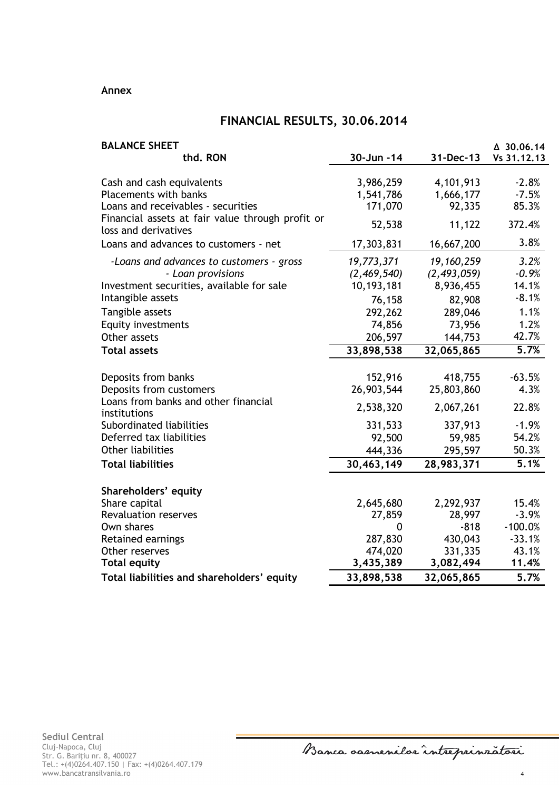#### **Annex**

## **FINANCIAL RESULTS, 30.06.2014**

| <b>BALANCE SHEET</b><br>thd. RON                                         | 30-Jun -14  | 31-Dec-13     | △ 30.06.14<br>Vs 31.12.13 |
|--------------------------------------------------------------------------|-------------|---------------|---------------------------|
|                                                                          |             |               |                           |
| Cash and cash equivalents                                                | 3,986,259   | 4,101,913     | $-2.8%$                   |
| <b>Placements with banks</b>                                             | 1,541,786   | 1,666,177     | $-7.5%$                   |
| Loans and receivables - securities                                       | 171,070     | 92,335        | 85.3%                     |
| Financial assets at fair value through profit or<br>loss and derivatives | 52,538      | 11,122        | 372.4%                    |
| Loans and advances to customers - net                                    | 17,303,831  | 16,667,200    | 3.8%                      |
| -Loans and advances to customers - gross                                 | 19,773,371  | 19, 160, 259  | 3.2%                      |
| - Loan provisions                                                        | (2,469,540) | (2, 493, 059) | $-0.9%$                   |
| Investment securities, available for sale                                | 10,193,181  | 8,936,455     | 14.1%                     |
| Intangible assets                                                        | 76,158      | 82,908        | $-8.1%$                   |
| Tangible assets                                                          | 292,262     | 289,046       | 1.1%                      |
| <b>Equity investments</b>                                                | 74,856      | 73,956        | 1.2%                      |
| Other assets                                                             | 206,597     | 144,753       | 42.7%                     |
| <b>Total assets</b>                                                      | 33,898,538  | 32,065,865    | 5.7%                      |
|                                                                          |             |               |                           |
| Deposits from banks                                                      | 152,916     | 418,755       | $-63.5%$                  |
| Deposits from customers                                                  | 26,903,544  | 25,803,860    | 4.3%                      |
| Loans from banks and other financial<br>institutions                     | 2,538,320   | 2,067,261     | 22.8%                     |
| Subordinated liabilities                                                 | 331,533     | 337,913       | $-1.9%$                   |
| Deferred tax liabilities                                                 | 92,500      | 59,985        | 54.2%                     |
| <b>Other liabilities</b>                                                 | 444,336     | 295,597       | 50.3%                     |
| <b>Total liabilities</b>                                                 | 30,463,149  | 28,983,371    | 5.1%                      |
| Shareholders' equity                                                     |             |               |                           |
| Share capital                                                            | 2,645,680   | 2,292,937     | 15.4%                     |
| <b>Revaluation reserves</b>                                              | 27,859      | 28,997        | $-3.9%$                   |
| Own shares                                                               | 0           | $-818$        | $-100.0%$                 |
| Retained earnings                                                        | 287,830     | 430,043       | $-33.1%$                  |
| Other reserves                                                           | 474,020     | 331,335       | 43.1%                     |
| <b>Total equity</b>                                                      | 3,435,389   | 3,082,494     | 11.4%                     |
| Total liabilities and shareholders' equity                               | 33,898,538  | 32,065,865    | 5.7%                      |

Banca oasnenilor intreprinzatori